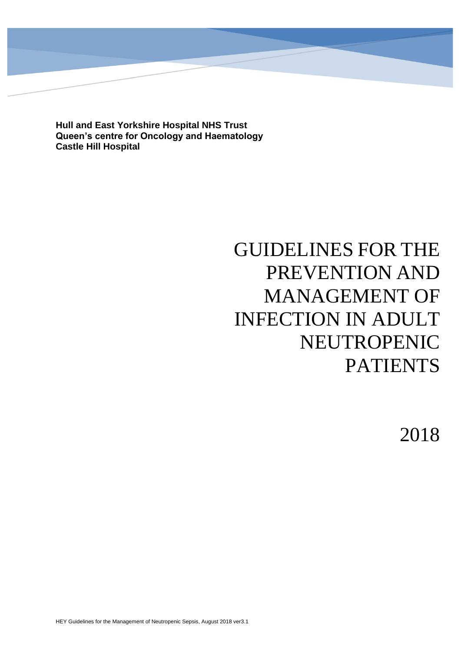**Hull and East Yorkshire Hospital NHS Trust Queen's centre for Oncology and Haematology Castle Hill Hospital**

# GUIDELINES FOR THE PREVENTION AND MANAGEMENT OF INFECTION IN ADULT NEUTROPENIC PATIENTS

2018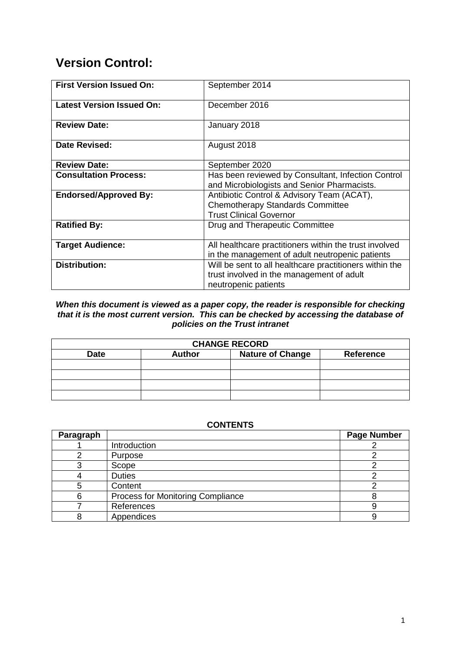# **Version Control:**

| <b>First Version Issued On:</b>  | September 2014                                                                                                               |
|----------------------------------|------------------------------------------------------------------------------------------------------------------------------|
| <b>Latest Version Issued On:</b> | December 2016                                                                                                                |
| <b>Review Date:</b>              | January 2018                                                                                                                 |
| <b>Date Revised:</b>             | August 2018                                                                                                                  |
| <b>Review Date:</b>              | September 2020                                                                                                               |
| <b>Consultation Process:</b>     | Has been reviewed by Consultant, Infection Control<br>and Microbiologists and Senior Pharmacists.                            |
| <b>Endorsed/Approved By:</b>     | Antibiotic Control & Advisory Team (ACAT),<br><b>Chemotherapy Standards Committee</b><br><b>Trust Clinical Governor</b>      |
| <b>Ratified By:</b>              | Drug and Therapeutic Committee                                                                                               |
| <b>Target Audience:</b>          | All healthcare practitioners within the trust involved<br>in the management of adult neutropenic patients                    |
| <b>Distribution:</b>             | Will be sent to all healthcare practitioners within the<br>trust involved in the management of adult<br>neutropenic patients |

# *When this document is viewed as a paper copy, the reader is responsible for checking that it is the most current version. This can be checked by accessing the database of policies on the Trust intranet*

| <b>CHANGE RECORD</b>                                    |  |                  |  |
|---------------------------------------------------------|--|------------------|--|
| <b>Nature of Change</b><br><b>Author</b><br><b>Date</b> |  | <b>Reference</b> |  |
|                                                         |  |                  |  |
|                                                         |  |                  |  |
|                                                         |  |                  |  |
|                                                         |  |                  |  |

# **CONTENTS**

| Paragraph |                                          | <b>Page Number</b> |
|-----------|------------------------------------------|--------------------|
|           | Introduction                             |                    |
|           | Purpose                                  |                    |
|           | Scope                                    |                    |
|           | <b>Duties</b>                            |                    |
|           | Content                                  |                    |
|           | <b>Process for Monitoring Compliance</b> |                    |
|           | References                               |                    |
|           | Appendices                               |                    |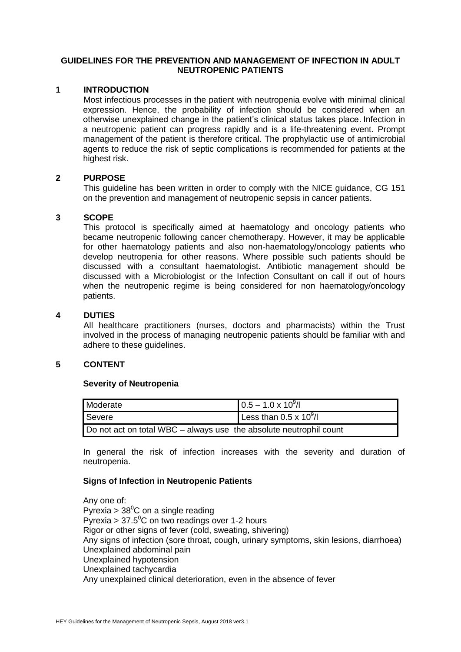#### **GUIDELINES FOR THE PREVENTION AND MANAGEMENT OF INFECTION IN ADULT NEUTROPENIC PATIENTS**

# **1 INTRODUCTION**

Most infectious processes in the patient with neutropenia evolve with minimal clinical expression. Hence, the probability of infection should be considered when an otherwise unexplained change in the patient's clinical status takes place. Infection in a neutropenic patient can progress rapidly and is a life-threatening event. Prompt management of the patient is therefore critical. The prophylactic use of antimicrobial agents to reduce the risk of septic complications is recommended for patients at the highest risk.

#### **2 PURPOSE**

This guideline has been written in order to comply with the NICE guidance, CG 151 on the prevention and management of neutropenic sepsis in cancer patients.

#### **3 SCOPE**

This protocol is specifically aimed at haematology and oncology patients who became neutropenic following cancer chemotherapy. However, it may be applicable for other haematology patients and also non-haematology/oncology patients who develop neutropenia for other reasons. Where possible such patients should be discussed with a consultant haematologist. Antibiotic management should be discussed with a Microbiologist or the Infection Consultant on call if out of hours when the neutropenic regime is being considered for non haematology/oncology patients.

#### **4 DUTIES**

All healthcare practitioners (nurses, doctors and pharmacists) within the Trust involved in the process of managing neutropenic patients should be familiar with and adhere to these guidelines.

# **5 CONTENT**

#### **Severity of Neutropenia**

| Moderate                                                           | $0.5 - 1.0 \times 10^9$ /l     |  |
|--------------------------------------------------------------------|--------------------------------|--|
| Severe                                                             | Less than $0.5 \times 10^9$ /l |  |
| Do not act on total WBC – always use the absolute neutrophil count |                                |  |

In general the risk of infection increases with the severity and duration of neutropenia.

#### **Signs of Infection in Neutropenic Patients**

Any one of: Pyrexia  $> 38^{\circ}$ C on a single reading Pyrexia  $> 37.5$ <sup>o</sup>C on two readings over 1-2 hours Rigor or other signs of fever (cold, sweating, shivering) Any signs of infection (sore throat, cough, urinary symptoms, skin lesions, diarrhoea) Unexplained abdominal pain Unexplained hypotension Unexplained tachycardia Any unexplained clinical deterioration, even in the absence of fever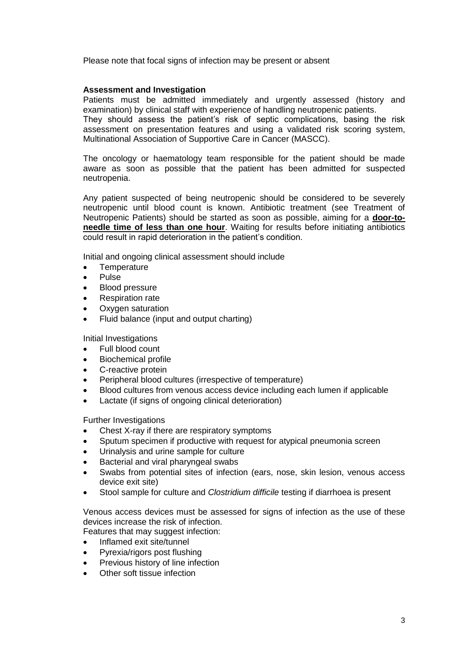Please note that focal signs of infection may be present or absent

# **Assessment and Investigation**

Patients must be admitted immediately and urgently assessed (history and examination) by clinical staff with experience of handling neutropenic patients.

They should assess the patient's risk of septic complications, basing the risk assessment on presentation features and using a validated risk scoring system, Multinational Association of Supportive Care in Cancer (MASCC).

The oncology or haematology team responsible for the patient should be made aware as soon as possible that the patient has been admitted for suspected neutropenia.

Any patient suspected of being neutropenic should be considered to be severely neutropenic until blood count is known. Antibiotic treatment (see Treatment of Neutropenic Patients) should be started as soon as possible, aiming for a **door-toneedle time of less than one hour**. Waiting for results before initiating antibiotics could result in rapid deterioration in the patient's condition.

Initial and ongoing clinical assessment should include

- Temperature
- Pulse
- Blood pressure
- Respiration rate
- Oxygen saturation
- Fluid balance (input and output charting)

Initial Investigations

- Full blood count
- Biochemical profile
- C-reactive protein
- Peripheral blood cultures (irrespective of temperature)
- Blood cultures from venous access device including each lumen if applicable
- Lactate (if signs of ongoing clinical deterioration)

Further Investigations

- Chest X-ray if there are respiratory symptoms
- Sputum specimen if productive with request for atypical pneumonia screen
- Urinalysis and urine sample for culture
- Bacterial and viral pharyngeal swabs
- Swabs from potential sites of infection (ears, nose, skin lesion, venous access device exit site)
- Stool sample for culture and *Clostridium difficile* testing if diarrhoea is present

Venous access devices must be assessed for signs of infection as the use of these devices increase the risk of infection.

Features that may suggest infection:

- Inflamed exit site/tunnel
- Pyrexia/rigors post flushing
- Previous history of line infection
- Other soft tissue infection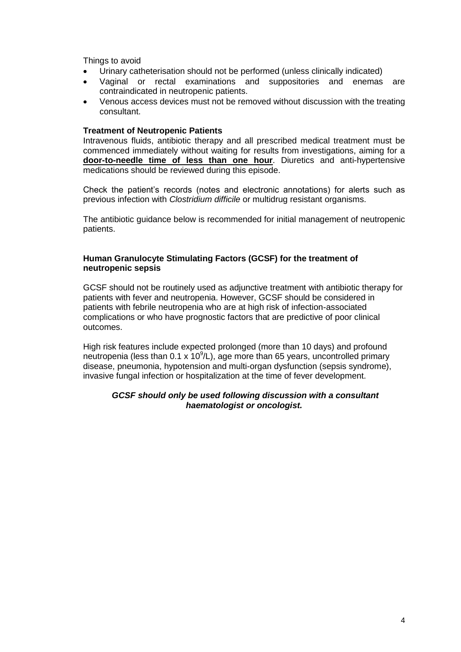Things to avoid

- Urinary catheterisation should not be performed (unless clinically indicated)
- Vaginal or rectal examinations and suppositories and enemas are contraindicated in neutropenic patients.
- Venous access devices must not be removed without discussion with the treating consultant.

#### **Treatment of Neutropenic Patients**

Intravenous fluids, antibiotic therapy and all prescribed medical treatment must be commenced immediately without waiting for results from investigations, aiming for a **door-to-needle time of less than one hour**. Diuretics and anti-hypertensive medications should be reviewed during this episode.

Check the patient's records (notes and electronic annotations) for alerts such as previous infection with *Clostridium difficile* or multidrug resistant organisms.

The antibiotic guidance below is recommended for initial management of neutropenic patients.

# **Human Granulocyte Stimulating Factors (GCSF) for the treatment of neutropenic sepsis**

GCSF should not be routinely used as adjunctive treatment with antibiotic therapy for patients with fever and neutropenia. However, GCSF should be considered in patients with febrile neutropenia who are at high risk of infection-associated complications or who have prognostic factors that are predictive of poor clinical outcomes.

High risk features include expected prolonged (more than 10 days) and profound neutropenia (less than  $0.1 \times 10^9$ /L), age more than 65 years, uncontrolled primary disease, pneumonia, hypotension and multi-organ dysfunction (sepsis syndrome), invasive fungal infection or hospitalization at the time of fever development.

# *GCSF should only be used following discussion with a consultant haematologist or oncologist.*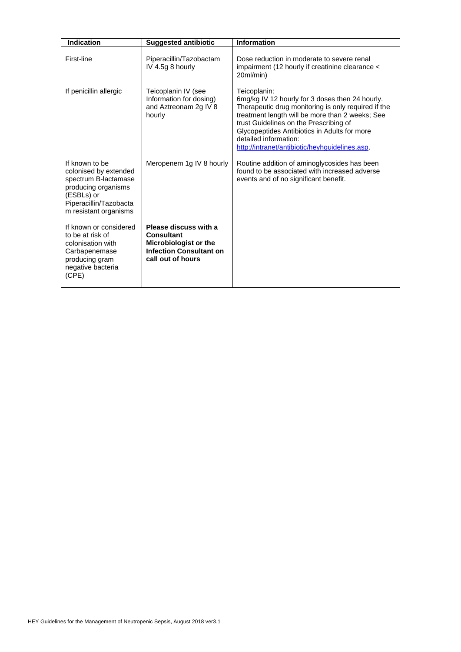| <b>Indication</b>                                                                                                                                       | <b>Suggested antibiotic</b>                                                                                                | <b>Information</b>                                                                                                                                                                                                                                                                                                                             |
|---------------------------------------------------------------------------------------------------------------------------------------------------------|----------------------------------------------------------------------------------------------------------------------------|------------------------------------------------------------------------------------------------------------------------------------------------------------------------------------------------------------------------------------------------------------------------------------------------------------------------------------------------|
| First-line                                                                                                                                              | Piperacillin/Tazobactam<br>IV 4.5g 8 hourly                                                                                | Dose reduction in moderate to severe renal<br>impairment (12 hourly if creatinine clearance <<br>20ml/min)                                                                                                                                                                                                                                     |
| If penicillin allergic                                                                                                                                  | Teicoplanin IV (see<br>Information for dosing)<br>and Aztreonam 2g IV 8<br>hourly                                          | Teicoplanin:<br>6mg/kg IV 12 hourly for 3 doses then 24 hourly.<br>Therapeutic drug monitoring is only required if the<br>treatment length will be more than 2 weeks; See<br>trust Guidelines on the Prescribing of<br>Glycopeptides Antibiotics in Adults for more<br>detailed information:<br>http://intranet/antibiotic/heyhquidelines.asp. |
| If known to be<br>colonised by extended<br>spectrum B-lactamase<br>producing organisms<br>(ESBLs) or<br>Piperacillin/Tazobacta<br>m resistant organisms | Meropenem 1g IV 8 hourly                                                                                                   | Routine addition of aminoglycosides has been<br>found to be associated with increased adverse<br>events and of no significant benefit.                                                                                                                                                                                                         |
| If known or considered<br>to be at risk of<br>colonisation with<br>Carbapenemase<br>producing gram<br>negative bacteria<br>(CPE)                        | Please discuss with a<br><b>Consultant</b><br>Microbiologist or the<br><b>Infection Consultant on</b><br>call out of hours |                                                                                                                                                                                                                                                                                                                                                |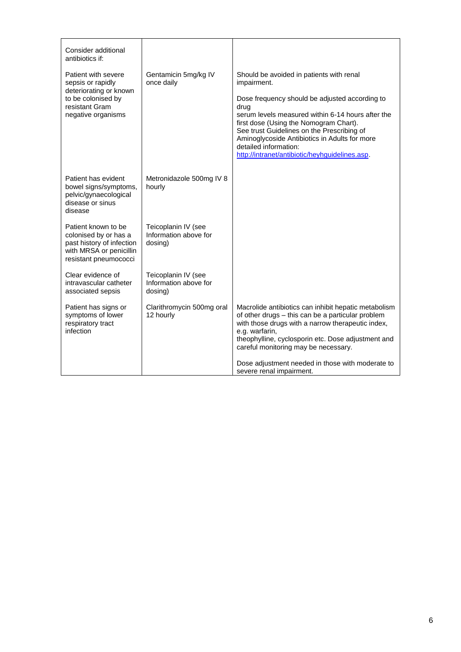| Consider additional<br>antibiotics if:                                                                                           |                                                         |                                                                                                                                                                                                                                                                                                                                                                                            |
|----------------------------------------------------------------------------------------------------------------------------------|---------------------------------------------------------|--------------------------------------------------------------------------------------------------------------------------------------------------------------------------------------------------------------------------------------------------------------------------------------------------------------------------------------------------------------------------------------------|
| Patient with severe<br>sepsis or rapidly<br>deteriorating or known<br>to be colonised by<br>resistant Gram<br>negative organisms | Gentamicin 5mg/kg IV<br>once daily                      | Should be avoided in patients with renal<br>impairment.<br>Dose frequency should be adjusted according to<br>drug<br>serum levels measured within 6-14 hours after the<br>first dose (Using the Nomogram Chart).<br>See trust Guidelines on the Prescribing of<br>Aminoglycoside Antibiotics in Adults for more<br>detailed information:<br>http://intranet/antibiotic/heyhguidelines.asp. |
| Patient has evident<br>bowel signs/symptoms,<br>pelvic/gynaecological<br>disease or sinus<br>disease                             | Metronidazole 500mg IV 8<br>hourly                      |                                                                                                                                                                                                                                                                                                                                                                                            |
| Patient known to be<br>colonised by or has a<br>past history of infection<br>with MRSA or penicillin<br>resistant pneumococci    | Teicoplanin IV (see<br>Information above for<br>dosing) |                                                                                                                                                                                                                                                                                                                                                                                            |
| Clear evidence of<br>intravascular catheter<br>associated sepsis                                                                 | Teicoplanin IV (see<br>Information above for<br>dosing) |                                                                                                                                                                                                                                                                                                                                                                                            |
| Patient has signs or<br>symptoms of lower<br>respiratory tract<br>infection                                                      | Clarithromycin 500mg oral<br>12 hourly                  | Macrolide antibiotics can inhibit hepatic metabolism<br>of other drugs - this can be a particular problem<br>with those drugs with a narrow therapeutic index,<br>e.g. warfarin,<br>theophylline, cyclosporin etc. Dose adjustment and<br>careful monitoring may be necessary.<br>Dose adjustment needed in those with moderate to<br>severe renal impairment.                             |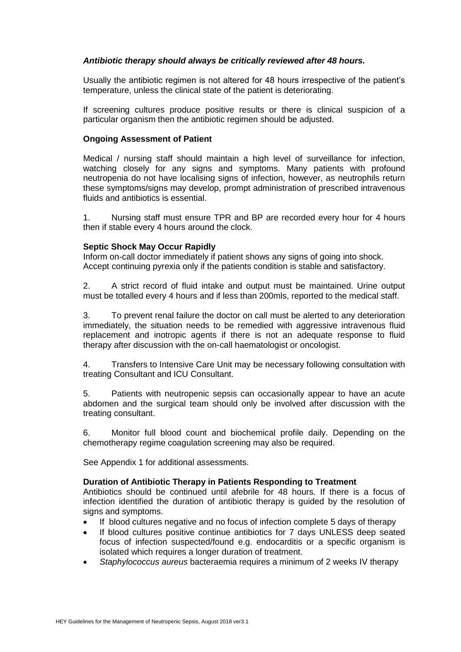# *Antibiotic therapy should always be critically reviewed after 48 hours.*

Usually the antibiotic regimen is not altered for 48 hours irrespective of the patient's temperature, unless the clinical state of the patient is deteriorating.

If screening cultures produce positive results or there is clinical suspicion of a particular organism then the antibiotic regimen should be adjusted.

# **Ongoing Assessment of Patient**

Medical / nursing staff should maintain a high level of surveillance for infection, watching closely for any signs and symptoms. Many patients with profound neutropenia do not have localising signs of infection, however, as neutrophils return these symptoms/signs may develop, prompt administration of prescribed intravenous fluids and antibiotics is essential.

1. Nursing staff must ensure TPR and BP are recorded every hour for 4 hours then if stable every 4 hours around the clock.

#### **Septic Shock May Occur Rapidly**

Inform on-call doctor immediately if patient shows any signs of going into shock. Accept continuing pyrexia only if the patients condition is stable and satisfactory.

2. A strict record of fluid intake and output must be maintained. Urine output must be totalled every 4 hours and if less than 200mls, reported to the medical staff.

3. To prevent renal failure the doctor on call must be alerted to any deterioration immediately, the situation needs to be remedied with aggressive intravenous fluid replacement and inotropic agents if there is not an adequate response to fluid therapy after discussion with the on-call haematologist or oncologist.

4. Transfers to Intensive Care Unit may be necessary following consultation with treating Consultant and ICU Consultant.

5. Patients with neutropenic sepsis can occasionally appear to have an acute abdomen and the surgical team should only be involved after discussion with the treating consultant.

6. Monitor full blood count and biochemical profile daily. Depending on the chemotherapy regime coagulation screening may also be required.

See Appendix 1 for additional assessments.

#### **Duration of Antibiotic Therapy in Patients Responding to Treatment**

Antibiotics should be continued until afebrile for 48 hours. If there is a focus of infection identified the duration of antibiotic therapy is guided by the resolution of signs and symptoms.

- If blood cultures negative and no focus of infection complete 5 days of therapy
- If blood cultures positive continue antibiotics for 7 days UNLESS deep seated focus of infection suspected/found e.g. endocarditis or a specific organism is isolated which requires a longer duration of treatment.
- *Staphylococcus aureus* bacteraemia requires a minimum of 2 weeks IV therapy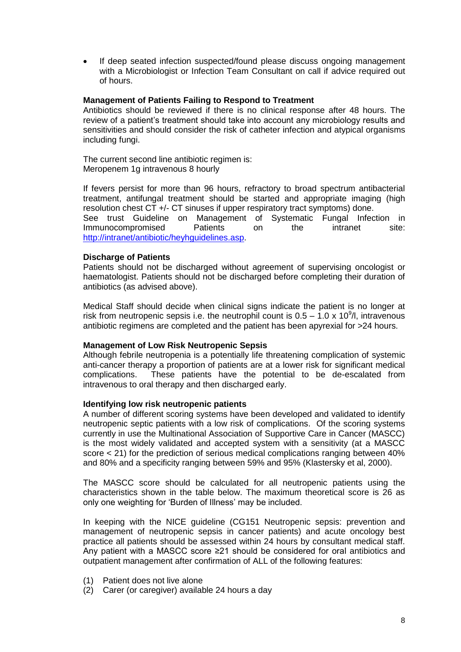If deep seated infection suspected/found please discuss ongoing management with a Microbiologist or Infection Team Consultant on call if advice required out of hours.

# **Management of Patients Failing to Respond to Treatment**

Antibiotics should be reviewed if there is no clinical response after 48 hours. The review of a patient's treatment should take into account any microbiology results and sensitivities and should consider the risk of catheter infection and atypical organisms including fungi.

The current second line antibiotic regimen is: Meropenem 1g intravenous 8 hourly

If fevers persist for more than 96 hours, refractory to broad spectrum antibacterial treatment, antifungal treatment should be started and appropriate imaging (high resolution chest CT +/- CT sinuses if upper respiratory tract symptoms) done. See trust Guideline on [Management of Systematic Fungal Infection in](http://intranet/guidelines/guidelines/19.pdf)  [Immunocompromised Patients](http://intranet/guidelines/guidelines/19.pdf) on the intranet site: [http://intranet/antibiotic/heyhguidelines.asp.](http://intranet/antibiotic/heyhguidelines.asp)

#### **Discharge of Patients**

Patients should not be discharged without agreement of supervising oncologist or haematologist. Patients should not be discharged before completing their duration of antibiotics (as advised above).

Medical Staff should decide when clinical signs indicate the patient is no longer at risk from neutropenic sepsis i.e. the neutrophil count is  $0.5 - 1.0 \times 10^9$ /l, intravenous antibiotic regimens are completed and the patient has been apyrexial for >24 hours.

#### **Management of Low Risk Neutropenic Sepsis**

Although febrile neutropenia is a potentially life threatening complication of systemic anti-cancer therapy a proportion of patients are at a lower risk for significant medical complications. These patients have the potential to be de-escalated from intravenous to oral therapy and then discharged early.

#### **Identifying low risk neutropenic patients**

A number of different scoring systems have been developed and validated to identify neutropenic septic patients with a low risk of complications. Of the scoring systems currently in use the Multinational Association of Supportive Care in Cancer (MASCC) is the most widely validated and accepted system with a sensitivity (at a MASCC score < 21) for the prediction of serious medical complications ranging between 40% and 80% and a specificity ranging between 59% and 95% (Klastersky et al, 2000).

The MASCC score should be calculated for all neutropenic patients using the characteristics shown in the table below. The maximum theoretical score is 26 as only one weighting for 'Burden of Illness' may be included.

In keeping with the NICE guideline (CG151 Neutropenic sepsis: prevention and management of neutropenic sepsis in cancer patients) and acute oncology best practice all patients should be assessed within 24 hours by consultant medical staff. Any patient with a MASCC score ≥21 should be considered for oral antibiotics and outpatient management after confirmation of ALL of the following features:

- (1) Patient does not live alone
- (2) Carer (or caregiver) available 24 hours a day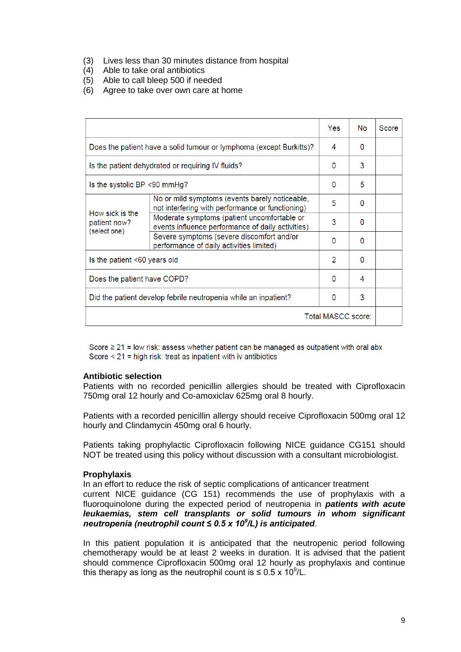- (3) Lives less than 30 minutes distance from hospital
- (4) Able to take oral antibiotics
- (5) Able to call bleep 500 if needed
- (6) Agree to take over own care at home

|                                                                     |                                                                                                    | Yes           | No       | Score |
|---------------------------------------------------------------------|----------------------------------------------------------------------------------------------------|---------------|----------|-------|
| Does the patient have a solid tumour or lymphoma (except Burkitts)? |                                                                                                    | 4             | 0        |       |
| Is the patient dehydrated or requiring IV fluids?                   |                                                                                                    | 0             | 3        |       |
| Is the systolic BP $\leq 90$ mmHg?                                  |                                                                                                    | 0             | 5        |       |
| How sick is the<br>patient now?<br>(select one)                     | No or mild symptoms (events barely noticeable,<br>not interfering with performance or functioning) | 5             | 0        |       |
|                                                                     | Moderate symptoms (patient uncomfortable or<br>events influence performance of daily activities)   | 3             | 0        |       |
|                                                                     | Severe symptoms (severe discomfort and/or<br>performance of daily activities limited)              | 0             | $\Omega$ |       |
| Is the patient <60 years old                                        |                                                                                                    | $\mathcal{P}$ | 0        |       |
| Does the patient have COPD?                                         |                                                                                                    | $\Omega$      | 4        |       |
| Did the patient develop febrile neutropenia while an inpatient?     |                                                                                                    | 0             | 3        |       |
| Total MASCC score:                                                  |                                                                                                    |               |          |       |

Score  $\geq$  21 = low risk: assess whether patient can be managed as outpatient with oral abx Score  $\leq$  21 = high risk: treat as inpatient with iv antibiotics

# **Antibiotic selection**

Patients with no recorded penicillin allergies should be treated with Ciprofloxacin 750mg oral 12 hourly and Co-amoxiclav 625mg oral 8 hourly.

Patients with a recorded penicillin allergy should receive Ciprofloxacin 500mg oral 12 hourly and Clindamycin 450mg oral 6 hourly.

Patients taking prophylactic Ciprofloxacin following NICE guidance CG151 should NOT be treated using this policy without discussion with a consultant microbiologist.

# **Prophylaxis**

In an effort to reduce the risk of septic complications of anticancer treatment current NICE guidance (CG 151) recommends the use of prophylaxis with a fluoroquinolone during the expected period of neutropenia in *patients with acute leukaemias, stem cell transplants or solid tumours in whom significant neutropenia (neutrophil count ≤ 0.5 x 10 9 /L) is anticipated*.

In this patient population it is anticipated that the neutropenic period following chemotherapy would be at least 2 weeks in duration. It is advised that the patient should commence Ciprofloxacin 500mg oral 12 hourly as prophylaxis and continue this therapy as long as the neutrophil count is  $\leq 0.5 \times 10^9$ /L.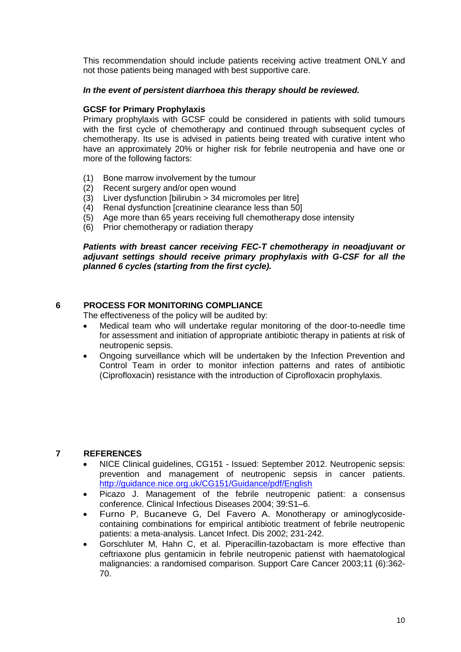This recommendation should include patients receiving active treatment ONLY and not those patients being managed with best supportive care.

# *In the event of persistent diarrhoea this therapy should be reviewed.*

# **GCSF for Primary Prophylaxis**

Primary prophylaxis with GCSF could be considered in patients with solid tumours with the first cycle of chemotherapy and continued through subsequent cycles of chemotherapy. Its use is advised in patients being treated with curative intent who have an approximately 20% or higher risk for febrile neutropenia and have one or more of the following factors:

- (1) Bone marrow involvement by the tumour
- (2) Recent surgery and/or open wound
- (3) Liver dysfunction [bilirubin > 34 micromoles per litre]
- (4) Renal dysfunction [creatinine clearance less than 50]
- (5) Age more than 65 years receiving full chemotherapy dose intensity
- (6) Prior chemotherapy or radiation therapy

# *Patients with breast cancer receiving FEC-T chemotherapy in neoadjuvant or adjuvant settings should receive primary prophylaxis with G-CSF for all the planned 6 cycles (starting from the first cycle).*

# **6 PROCESS FOR MONITORING COMPLIANCE**

The effectiveness of the policy will be audited by:

- Medical team who will undertake regular monitoring of the door-to-needle time for assessment and initiation of appropriate antibiotic therapy in patients at risk of neutropenic sepsis.
- Ongoing surveillance which will be undertaken by the Infection Prevention and Control Team in order to monitor infection patterns and rates of antibiotic (Ciprofloxacin) resistance with the introduction of Ciprofloxacin prophylaxis.

# **7 REFERENCES**

- NICE Clinical guidelines, CG151 Issued: September 2012. Neutropenic sepsis: prevention and management of neutropenic sepsis in cancer patients. <http://guidance.nice.org.uk/CG151/Guidance/pdf/English>
- Picazo J. Management of the febrile neutropenic patient: a consensus conference. Clinical Infectious Diseases 2004; 39:S1–6.
- Furno P, Bucaneve G, Del Favero A. Monotherapy or aminoglycosidecontaining combinations for empirical antibiotic treatment of febrile neutropenic patients: a meta-analysis. Lancet Infect. Dis 2002; 231-242.
- Gorschluter M, Hahn C, et al. Piperacillin-tazobactam is more effective than ceftriaxone plus gentamicin in febrile neutropenic patienst with haematological malignancies: a randomised comparison. Support Care Cancer 2003;11 (6):362- 70.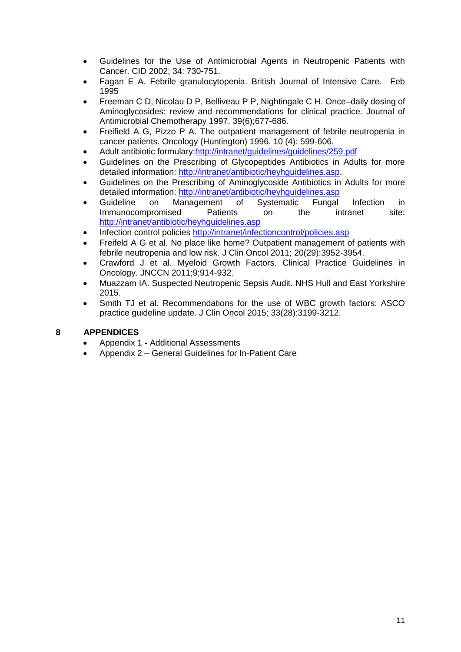- Guidelines for the Use of Antimicrobial Agents in Neutropenic Patients with Cancer. CID 2002; 34: 730-751.
- Fagan E A. Febrile granulocytopenia. British Journal of Intensive Care. Feb 1995
- Freeman C D, Nicolau D P, Belliveau P P, Nightingale C H. Once–daily dosing of Aminoglycosides: review and recommendations for clinical practice. Journal of Antimicrobial Chemotherapy 1997. 39(6);677-686.
- Freifield A G, Pizzo P A. The outpatient management of febrile neutropenia in cancer patients. Oncology (Huntington) 1996. 10 (4): 599-606.
- Adult antibiotic formulary[:http://intranet/guidelines/guidelines/259.pdf](http://intranet/guidelines/guidelines/259.pdf)
- Guidelines on the Prescribing of Glycopeptides Antibiotics in Adults for more detailed information: [http://intranet/antibiotic/heyhguidelines.asp.](http://intranet/antibiotic/heyhguidelines.asp)
- Guidelines on the Prescribing of Aminoglycoside Antibiotics in Adults for more detailed information:<http://intranet/antibiotic/heyhguidelines.asp>
- Guideline on [Management of Systematic Fungal Infection in](http://intranet/guidelines/guidelines/19.pdf)  [Immunocompromised Patients](http://intranet/guidelines/guidelines/19.pdf) on the intranet site: <http://intranet/antibiotic/heyhguidelines.asp>
- Infection control policies<http://intranet/infectioncontrol/policies.asp>
- Freifeld A G et al. No place like home? Outpatient management of patients with febrile neutropenia and low risk. J Clin Oncol 2011; 20(29):3952-3954.
- Crawford J et al. Myeloid Growth Factors. Clinical Practice Guidelines in Oncology. JNCCN 2011;9;914-932.
- Muazzam IA. Suspected Neutropenic Sepsis Audit. NHS Hull and East Yorkshire 2015.
- Smith TJ et al. Recommendations for the use of WBC growth factors: ASCO practice guideline update. J Clin Oncol 2015; 33(28):3199-3212.

# **8 APPENDICES**

- Appendix 1 **-** Additional Assessments
- Appendix 2 General Guidelines for In-Patient Care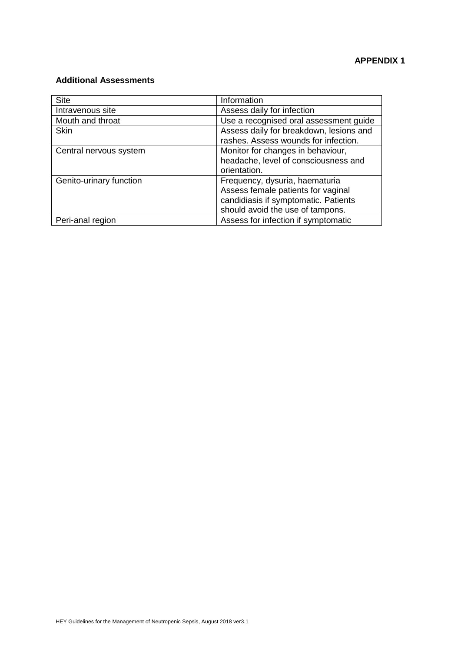# **APPENDIX 1**

# **Additional Assessments**

| <b>Site</b>             | Information                             |
|-------------------------|-----------------------------------------|
| Intravenous site        | Assess daily for infection              |
| Mouth and throat        | Use a recognised oral assessment quide  |
| <b>Skin</b>             | Assess daily for breakdown, lesions and |
|                         | rashes. Assess wounds for infection.    |
| Central nervous system  | Monitor for changes in behaviour,       |
|                         | headache, level of consciousness and    |
|                         | orientation.                            |
| Genito-urinary function | Frequency, dysuria, haematuria          |
|                         | Assess female patients for vaginal      |
|                         | candidiasis if symptomatic. Patients    |
|                         | should avoid the use of tampons.        |
| Peri-anal region        | Assess for infection if symptomatic     |